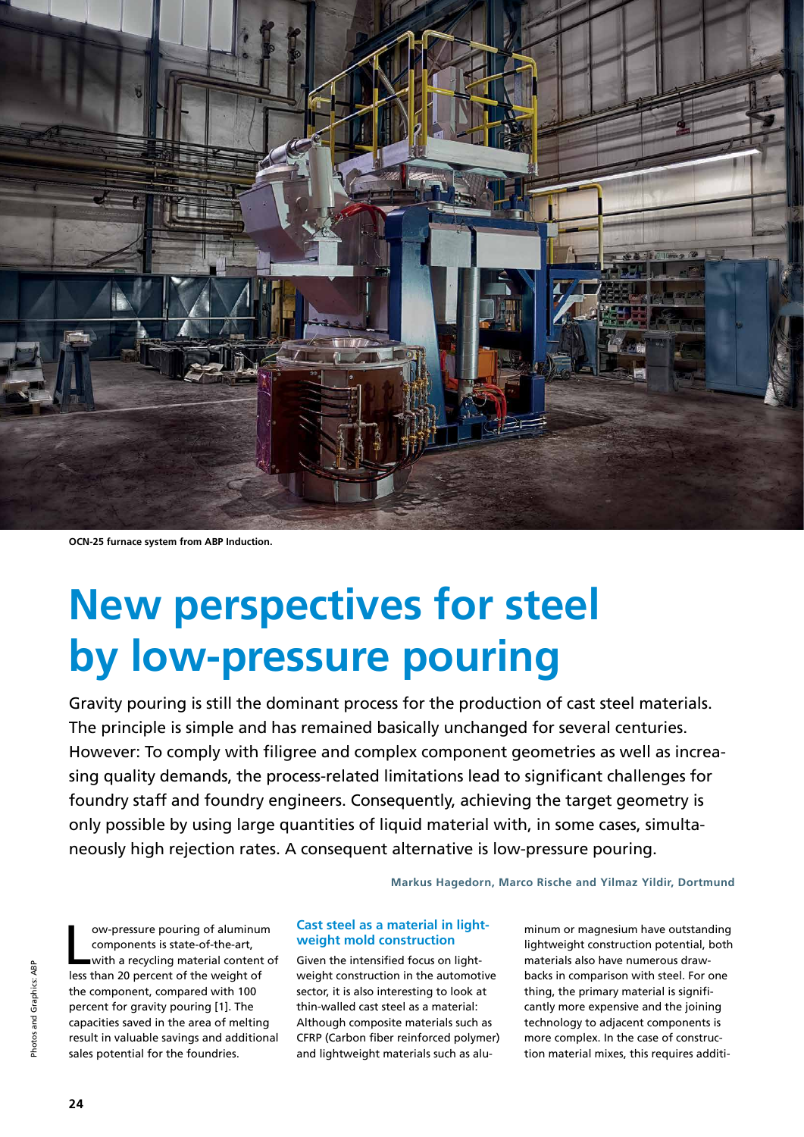

**OCN-25 furnace system from ABP Induction.**

# **New perspectives for steel by low-pressure pouring**

Gravity pouring is still the dominant process for the production of cast steel materials. The principle is simple and has remained basically unchanged for several centuries. However: To comply with filigree and complex component geometries as well as increasing quality demands, the process-related limitations lead to significant challenges for foundry staff and foundry engineers. Consequently, achieving the target geometry is only possible by using large quantities of liquid material with, in some cases, simultaneously high rejection rates. A consequent alternative is low-pressure pouring.

**Markus Hagedorn, Marco Rische and Yilmaz Yildir, Dortmund**

ow-pressure pouring of aluminum<br>components is state-of-the-art,<br>with a recycling material content<br>less than 20 percent of the weight of ow-pressure pouring of aluminum components is state-of-the-art, with a recycling material content of the component, compared with 100 percent for gravity pouring [1]. The capacities saved in the area of melting result in valuable savings and additional sales potential for the foundries.

#### **Cast steel as a material in lightweight mold construction**

Given the intensified focus on lightweight construction in the automotive sector, it is also interesting to look at thin-walled cast steel as a material: Although composite materials such as CFRP (Carbon fiber reinforced polymer) and lightweight materials such as aluminum or magnesium have outstanding lightweight construction potential, both materials also have numerous drawbacks in comparison with steel. For one thing, the primary material is significantly more expensive and the joining technology to adjacent components is more complex. In the case of construction material mixes, this requires additi-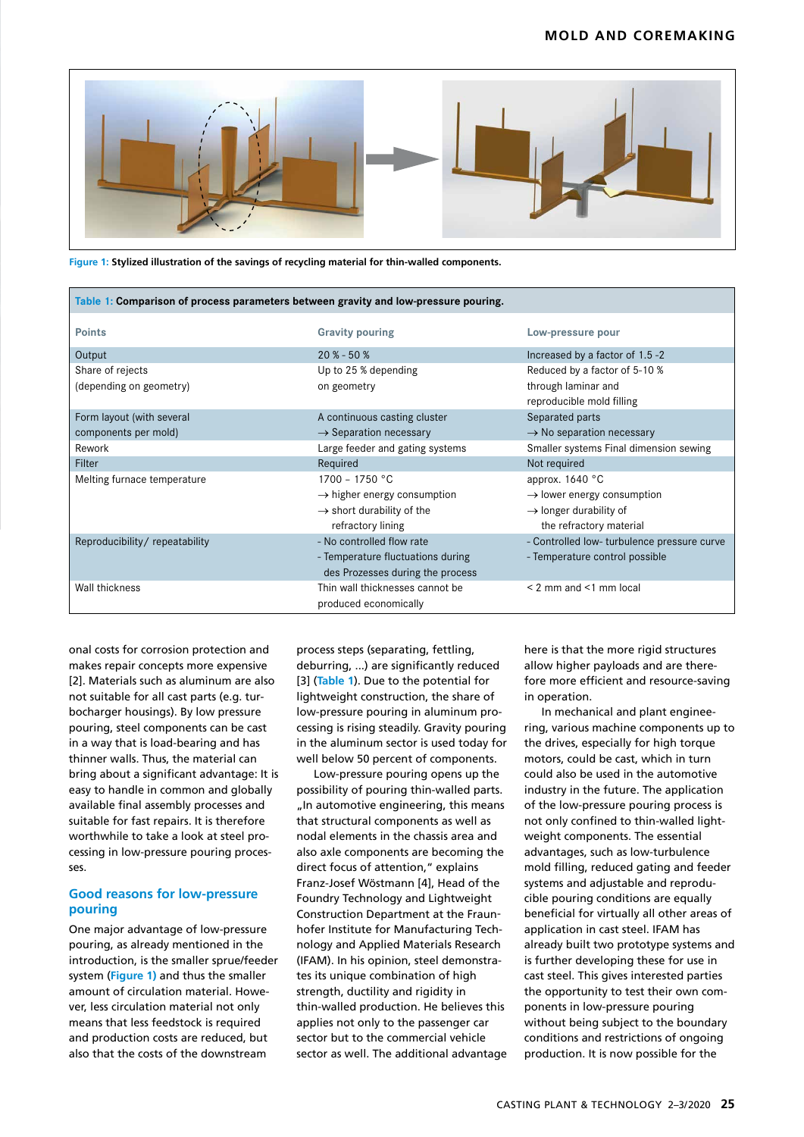# **MOLD AND COREMAKING**



**Figure 1: Stylized illustration of the savings of recycling material for thin-walled components.**

| Table 1: Comparison of process parameters between gravity and low-pressure pouring. |                                                                                                                           |                                                                                                                            |
|-------------------------------------------------------------------------------------|---------------------------------------------------------------------------------------------------------------------------|----------------------------------------------------------------------------------------------------------------------------|
| <b>Points</b>                                                                       | <b>Gravity pouring</b>                                                                                                    | Low-pressure pour                                                                                                          |
| Output                                                                              | $20\% - 50\%$                                                                                                             | Increased by a factor of 1.5 -2                                                                                            |
| Share of rejects                                                                    | Up to 25 % depending                                                                                                      | Reduced by a factor of 5-10 %                                                                                              |
| (depending on geometry)                                                             | on geometry                                                                                                               | through laminar and<br>reproducible mold filling                                                                           |
| Form layout (with several                                                           | A continuous casting cluster                                                                                              | Separated parts                                                                                                            |
| components per mold)                                                                | $\rightarrow$ Separation necessary                                                                                        | $\rightarrow$ No separation necessary                                                                                      |
| Rework                                                                              | Large feeder and gating systems                                                                                           | Smaller systems Final dimension sewing                                                                                     |
| Filter                                                                              | Required                                                                                                                  | Not required                                                                                                               |
| Melting furnace temperature                                                         | $1700 - 1750$ °C<br>$\rightarrow$ higher energy consumption<br>$\rightarrow$ short durability of the<br>refractory lining | approx. 1640 °C<br>$\rightarrow$ lower energy consumption<br>$\rightarrow$ longer durability of<br>the refractory material |
| Reproducibility/repeatability                                                       | - No controlled flow rate<br>- Temperature fluctuations during<br>des Prozesses during the process                        | - Controlled low- turbulence pressure curve<br>- Temperature control possible                                              |
| Wall thickness                                                                      | Thin wall thicknesses cannot be<br>produced economically                                                                  | $<$ 2 mm and $<$ 1 mm local                                                                                                |

onal costs for corrosion protection and makes repair concepts more expensive [2]. Materials such as aluminum are also not suitable for all cast parts (e.g. turbocharger housings). By low pressure pouring, steel components can be cast in a way that is load-bearing and has thinner walls. Thus, the material can bring about a significant advantage: It is easy to handle in common and globally available final assembly processes and suitable for fast repairs. It is therefore worthwhile to take a look at steel processing in low-pressure pouring processes.

# **Good reasons for low-pressure pouring**

One major advantage of low-pressure pouring, as already mentioned in the introduction, is the smaller sprue/feeder system (**Figure 1)** and thus the smaller amount of circulation material. However, less circulation material not only means that less feedstock is required and production costs are reduced, but also that the costs of the downstream

process steps (separating, fettling, deburring, ...) are significantly reduced [3] (**Table 1**). Due to the potential for lightweight construction, the share of low-pressure pouring in aluminum processing is rising steadily. Gravity pouring in the aluminum sector is used today for well below 50 percent of components.

Low-pressure pouring opens up the possibility of pouring thin-walled parts. "In automotive engineering, this means that structural components as well as nodal elements in the chassis area and also axle components are becoming the direct focus of attention," explains Franz-Josef Wöstmann [4], Head of the Foundry Technology and Lightweight Construction Department at the Fraunhofer Institute for Manufacturing Technology and Applied Materials Research (IFAM). In his opinion, steel demonstrates its unique combination of high strength, ductility and rigidity in thin-walled production. He believes this applies not only to the passenger car sector but to the commercial vehicle sector as well. The additional advantage here is that the more rigid structures allow higher payloads and are therefore more efficient and resource-saving in operation.

In mechanical and plant engineering, various machine components up to the drives, especially for high torque motors, could be cast, which in turn could also be used in the automotive industry in the future. The application of the low-pressure pouring process is not only confined to thin-walled lightweight components. The essential advantages, such as low-turbulence mold filling, reduced gating and feeder systems and adjustable and reproducible pouring conditions are equally beneficial for virtually all other areas of application in cast steel. IFAM has already built two prototype systems and is further developing these for use in cast steel. This gives interested parties the opportunity to test their own components in low-pressure pouring without being subject to the boundary conditions and restrictions of ongoing production. It is now possible for the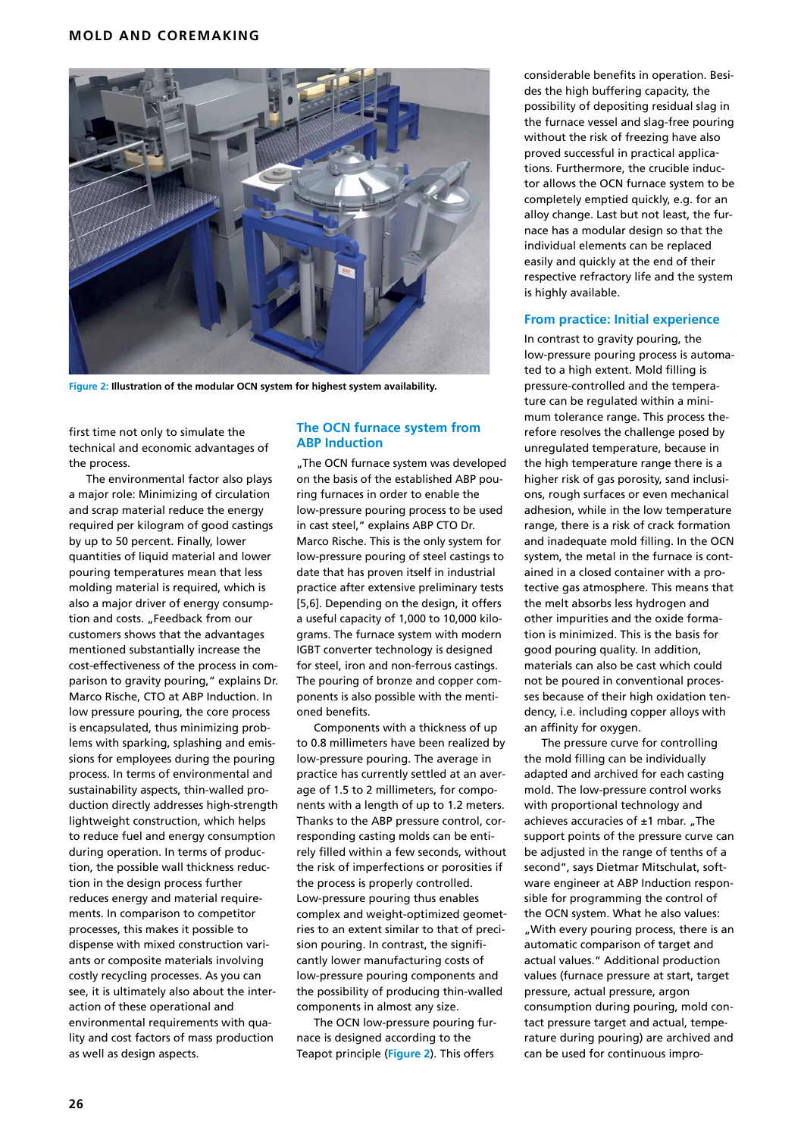

**Figure 2: Illustration of the modular OCN system for highest system availability.** 

first time not only to simulate the technical and economic advantages of the process.

The environmental factor also plays a major role: Minimizing of circulation and scrap material reduce the energy required per kilogram of good castings by up to 50 percent. Finally, lower quantities of liquid material and lower pouring temperatures mean that less molding material is required, which is also a major driver of energy consumption and costs. "Feedback from our customers shows that the advantages mentioned substantially increase the cost-effectiveness of the process in comparison to gravity pouring," explains Dr. Marco Rische, CTO at ABP Induction. In low pressure pouring, the core process is encapsulated, thus minimizing problems with sparking, splashing and emissions for employees during the pouring process. In terms of environmental and sustainability aspects, thin-walled production directly addresses high-strength lightweight construction, which helps to reduce fuel and energy consumption during operation. In terms of production, the possible wall thickness reduction in the design process further reduces energy and material requirements. In comparison to competitor processes, this makes it possible to dispense with mixed construction variants or composite materials involving costly recycling processes. As you can see, it is ultimately also about the interaction of these operational and environmental requirements with quality and cost factors of mass production as well as design aspects.

### **The OCN furnace system from ABP Induction**

"The OCN furnace system was developed on the basis of the established ABP pouring furnaces in order to enable the low-pressure pouring process to be used in cast steel," explains ABP CTO Dr. Marco Rische. This is the only system for low-pressure pouring of steel castings to date that has proven itself in industrial practice after extensive preliminary tests [5,6]. Depending on the design, it offers a useful capacity of 1,000 to 10,000 kilograms. The furnace system with modern IGBT converter technology is designed for steel, iron and non-ferrous castings. The pouring of bronze and copper components is also possible with the mentioned benefits.

Components with a thickness of up to 0.8 millimeters have been realized by low-pressure pouring. The average in practice has currently settled at an average of 1.5 to 2 millimeters, for components with a length of up to 1.2 meters. Thanks to the ABP pressure control, corresponding casting molds can be entirely filled within a few seconds, without the risk of imperfections or porosities if the process is properly controlled. Low-pressure pouring thus enables complex and weight-optimized geometries to an extent similar to that of precision pouring. In contrast, the significantly lower manufacturing costs of low-pressure pouring components and the possibility of producing thin-walled components in almost any size.

The OCN low-pressure pouring furnace is designed according to the Teapot principle (**Figure 2**). This offers

considerable benefits in operation. Besides the high buffering capacity, the possibility of depositing residual slag in the furnace vessel and slag-free pouring without the risk of freezing have also proved successful in practical applications. Furthermore, the crucible inductor allows the OCN furnace system to be completely emptied quickly, e.g. for an alloy change. Last but not least, the furnace has a modular design so that the individual elements can be replaced easily and quickly at the end of their respective refractory life and the system is highly available.

#### **From practice: Initial experience**

In contrast to gravity pouring, the low-pressure pouring process is automated to a high extent. Mold filling is pressure-controlled and the temperature can be regulated within a minimum tolerance range. This process therefore resolves the challenge posed by unregulated temperature, because in the high temperature range there is a higher risk of gas porosity, sand inclusions, rough surfaces or even mechanical adhesion, while in the low temperature range, there is a risk of crack formation and inadequate mold filling. In the OCN system, the metal in the furnace is contained in a closed container with a protective gas atmosphere. This means that the melt absorbs less hydrogen and other impurities and the oxide formation is minimized. This is the basis for good pouring quality. In addition, materials can also be cast which could not be poured in conventional processes because of their high oxidation tendency, i.e. including copper alloys with an affinity for oxygen.

The pressure curve for controlling the mold filling can be individually adapted and archived for each casting mold. The low-pressure control works with proportional technology and achieves accuracies of  $\pm 1$  mbar. "The support points of the pressure curve can be adjusted in the range of tenths of a second", says Dietmar Mitschulat, software engineer at ABP Induction responsible for programming the control of the OCN system. What he also values: "With every pouring process, there is an automatic comparison of target and actual values." Additional production values (furnace pressure at start, target pressure, actual pressure, argon consumption during pouring, mold contact pressure target and actual, temperature during pouring) are archived and can be used for continuous impro-